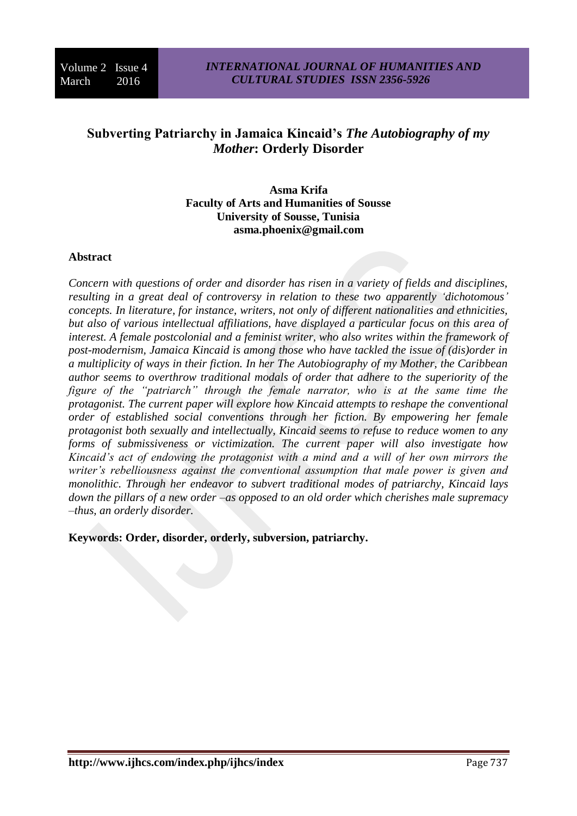# **Subverting Patriarchy in Jamaica Kincaid's** *The Autobiography of my Mother***: Orderly Disorder**

**Asma Krifa Faculty of Arts and Humanities of Sousse University of Sousse, Tunisia [asma.phoenix@gmail.com](mailto:asma.phoenix@gmail.com)**

#### **Abstract**

*Concern with questions of order and disorder has risen in a variety of fields and disciplines, resulting in a great deal of controversy in relation to these two apparently 'dichotomous' concepts. In literature, for instance, writers, not only of different nationalities and ethnicities, but also of various intellectual affiliations, have displayed a particular focus on this area of interest. A female postcolonial and a feminist writer, who also writes within the framework of post-modernism, Jamaica Kincaid is among those who have tackled the issue of (dis)order in a multiplicity of ways in their fiction. In her The Autobiography of my Mother, the Caribbean author seems to overthrow traditional modals of order that adhere to the superiority of the figure of the "patriarch" through the female narrator, who is at the same time the protagonist. The current paper will explore how Kincaid attempts to reshape the conventional order of established social conventions through her fiction. By empowering her female protagonist both sexually and intellectually, Kincaid seems to refuse to reduce women to any forms of submissiveness or victimization. The current paper will also investigate how Kincaid's act of endowing the protagonist with a mind and a will of her own mirrors the writer's rebelliousness against the conventional assumption that male power is given and monolithic. Through her endeavor to subvert traditional modes of patriarchy, Kincaid lays down the pillars of a new order –as opposed to an old order which cherishes male supremacy –thus, an orderly disorder.* 

**Keywords: Order, disorder, orderly, subversion, patriarchy.**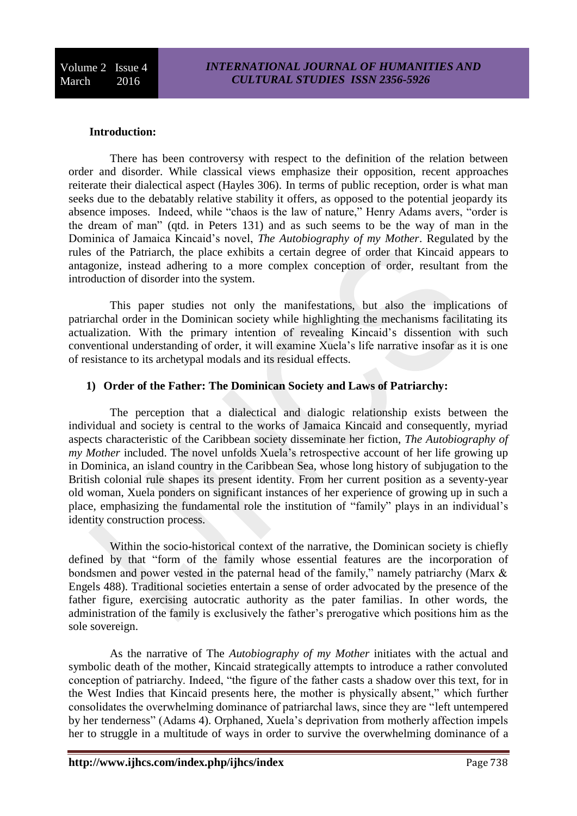# **Introduction:**

There has been controversy with respect to the definition of the relation between order and disorder. While classical views emphasize their opposition, recent approaches reiterate their dialectical aspect (Hayles 306). In terms of public reception, order is what man seeks due to the debatably relative stability it offers, as opposed to the potential jeopardy its absence imposes. Indeed, while "chaos is the law of nature," Henry Adams avers, "order is the dream of man" (qtd. in Peters 131) and as such seems to be the way of man in the Dominica of Jamaica Kincaid's novel, *The Autobiography of my Mother*. Regulated by the rules of the Patriarch, the place exhibits a certain degree of order that Kincaid appears to antagonize, instead adhering to a more complex conception of order, resultant from the introduction of disorder into the system.

This paper studies not only the manifestations, but also the implications of patriarchal order in the Dominican society while highlighting the mechanisms facilitating its actualization. With the primary intention of revealing Kincaid's dissention with such conventional understanding of order, it will examine Xuela's life narrative insofar as it is one of resistance to its archetypal modals and its residual effects.

#### **1) Order of the Father: The Dominican Society and Laws of Patriarchy:**

The perception that a dialectical and dialogic relationship exists between the individual and society is central to the works of Jamaica Kincaid and consequently, myriad aspects characteristic of the Caribbean society disseminate her fiction, *The Autobiography of my Mother* included. The novel unfolds Xuela's retrospective account of her life growing up in Dominica, an island country in the Caribbean Sea, whose long history of subjugation to the British colonial rule shapes its present identity. From her current position as a seventy-year old woman, Xuela ponders on significant instances of her experience of growing up in such a place, emphasizing the fundamental role the institution of "family" plays in an individual's identity construction process.

Within the socio-historical context of the narrative, the Dominican society is chiefly defined by that "form of the family whose essential features are the incorporation of bondsmen and power vested in the paternal head of the family," namely patriarchy (Marx & Engels 488). Traditional societies entertain a sense of order advocated by the presence of the father figure, exercising autocratic authority as the pater familias. In other words, the administration of the family is exclusively the father's prerogative which positions him as the sole sovereign.

As the narrative of The *Autobiography of my Mother* initiates with the actual and symbolic death of the mother, Kincaid strategically attempts to introduce a rather convoluted conception of patriarchy. Indeed, "the figure of the father casts a shadow over this text, for in the West Indies that Kincaid presents here, the mother is physically absent," which further consolidates the overwhelming dominance of patriarchal laws, since they are "left untempered by her tenderness" (Adams 4). Orphaned, Xuela's deprivation from motherly affection impels her to struggle in a multitude of ways in order to survive the overwhelming dominance of a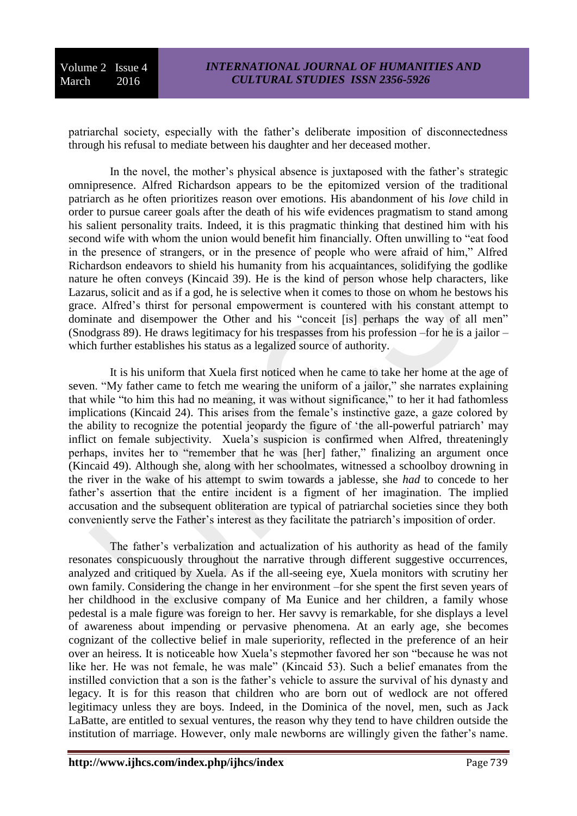patriarchal society, especially with the father's deliberate imposition of disconnectedness through his refusal to mediate between his daughter and her deceased mother.

In the novel, the mother's physical absence is juxtaposed with the father's strategic omnipresence. Alfred Richardson appears to be the epitomized version of the traditional patriarch as he often prioritizes reason over emotions. His abandonment of his *love* child in order to pursue career goals after the death of his wife evidences pragmatism to stand among his salient personality traits. Indeed, it is this pragmatic thinking that destined him with his second wife with whom the union would benefit him financially. Often unwilling to "eat food in the presence of strangers, or in the presence of people who were afraid of him," Alfred Richardson endeavors to shield his humanity from his acquaintances, solidifying the godlike nature he often conveys (Kincaid 39). He is the kind of person whose help characters, like Lazarus, solicit and as if a god, he is selective when it comes to those on whom he bestows his grace. Alfred's thirst for personal empowerment is countered with his constant attempt to dominate and disempower the Other and his "conceit [is] perhaps the way of all men" (Snodgrass 89). He draws legitimacy for his trespasses from his profession –for he is a jailor – which further establishes his status as a legalized source of authority.

It is his uniform that Xuela first noticed when he came to take her home at the age of seven. "My father came to fetch me wearing the uniform of a jailor," she narrates explaining that while "to him this had no meaning, it was without significance," to her it had fathomless implications (Kincaid 24). This arises from the female's instinctive gaze, a gaze colored by the ability to recognize the potential jeopardy the figure of 'the all-powerful patriarch' may inflict on female subjectivity. Xuela's suspicion is confirmed when Alfred, threateningly perhaps, invites her to "remember that he was [her] father," finalizing an argument once (Kincaid 49). Although she, along with her schoolmates, witnessed a schoolboy drowning in the river in the wake of his attempt to swim towards a jablesse, she *had* to concede to her father's assertion that the entire incident is a figment of her imagination. The implied accusation and the subsequent obliteration are typical of patriarchal societies since they both conveniently serve the Father's interest as they facilitate the patriarch's imposition of order.

The father's verbalization and actualization of his authority as head of the family resonates conspicuously throughout the narrative through different suggestive occurrences, analyzed and critiqued by Xuela. As if the all-seeing eye, Xuela monitors with scrutiny her own family. Considering the change in her environment –for she spent the first seven years of her childhood in the exclusive company of Ma Eunice and her children, a family whose pedestal is a male figure was foreign to her. Her savvy is remarkable, for she displays a level of awareness about impending or pervasive phenomena. At an early age, she becomes cognizant of the collective belief in male superiority, reflected in the preference of an heir over an heiress. It is noticeable how Xuela's stepmother favored her son "because he was not like her. He was not female, he was male" (Kincaid 53). Such a belief emanates from the instilled conviction that a son is the father's vehicle to assure the survival of his dynasty and legacy. It is for this reason that children who are born out of wedlock are not offered legitimacy unless they are boys. Indeed, in the Dominica of the novel, men, such as Jack LaBatte, are entitled to sexual ventures, the reason why they tend to have children outside the institution of marriage. However, only male newborns are willingly given the father's name.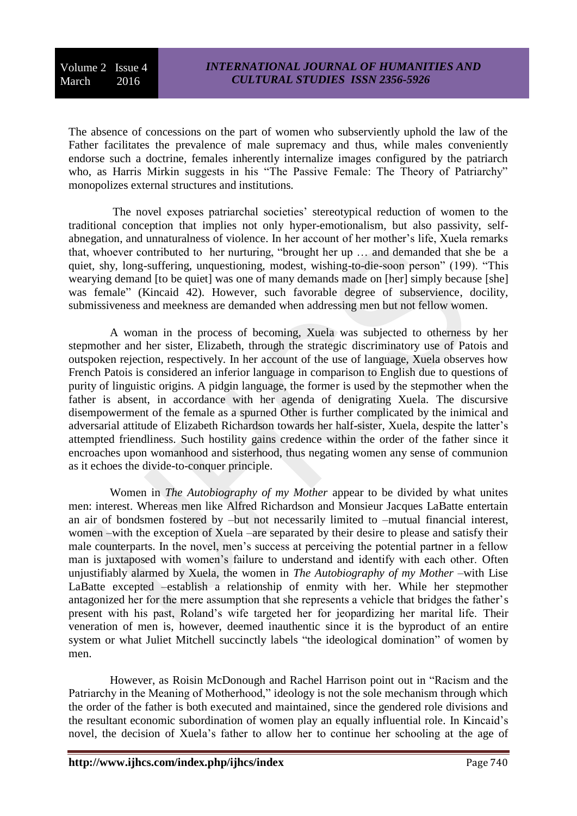The absence of concessions on the part of women who subserviently uphold the law of the Father facilitates the prevalence of male supremacy and thus, while males conveniently endorse such a doctrine, females inherently internalize images configured by the patriarch who, as Harris Mirkin suggests in his "The Passive Female: The Theory of Patriarchy" monopolizes external structures and institutions.

The novel exposes patriarchal societies' stereotypical reduction of women to the traditional conception that implies not only hyper-emotionalism, but also passivity, selfabnegation, and unnaturalness of violence. In her account of her mother's life, Xuela remarks that, whoever contributed to her nurturing, "brought her up … and demanded that she be a quiet, shy, long-suffering, unquestioning, modest, wishing-to-die-soon person" (199). "This wearying demand [to be quiet] was one of many demands made on [her] simply because [she] was female" (Kincaid 42). However, such favorable degree of subservience, docility, submissiveness and meekness are demanded when addressing men but not fellow women.

A woman in the process of becoming, Xuela was subjected to otherness by her stepmother and her sister, Elizabeth, through the strategic discriminatory use of Patois and outspoken rejection, respectively. In her account of the use of language, Xuela observes how French Patois is considered an inferior language in comparison to English due to questions of purity of linguistic origins. A pidgin language, the former is used by the stepmother when the father is absent, in accordance with her agenda of denigrating Xuela. The discursive disempowerment of the female as a spurned Other is further complicated by the inimical and adversarial attitude of Elizabeth Richardson towards her half-sister, Xuela, despite the latter's attempted friendliness. Such hostility gains credence within the order of the father since it encroaches upon womanhood and sisterhood, thus negating women any sense of communion as it echoes the divide-to-conquer principle.

Women in *The Autobiography of my Mother* appear to be divided by what unites men: interest. Whereas men like Alfred Richardson and Monsieur Jacques LaBatte entertain an air of bondsmen fostered by –but not necessarily limited to –mutual financial interest, women –with the exception of Xuela –are separated by their desire to please and satisfy their male counterparts. In the novel, men's success at perceiving the potential partner in a fellow man is juxtaposed with women's failure to understand and identify with each other. Often unjustifiably alarmed by Xuela, the women in *The Autobiography of my Mother* –with Lise LaBatte excepted –establish a relationship of enmity with her. While her stepmother antagonized her for the mere assumption that she represents a vehicle that bridges the father's present with his past, Roland's wife targeted her for jeopardizing her marital life. Their veneration of men is, however, deemed inauthentic since it is the byproduct of an entire system or what Juliet Mitchell succinctly labels "the ideological domination" of women by men.

However, as Roisin McDonough and Rachel Harrison point out in "Racism and the Patriarchy in the Meaning of Motherhood," ideology is not the sole mechanism through which the order of the father is both executed and maintained, since the gendered role divisions and the resultant economic subordination of women play an equally influential role. In Kincaid's novel, the decision of Xuela's father to allow her to continue her schooling at the age of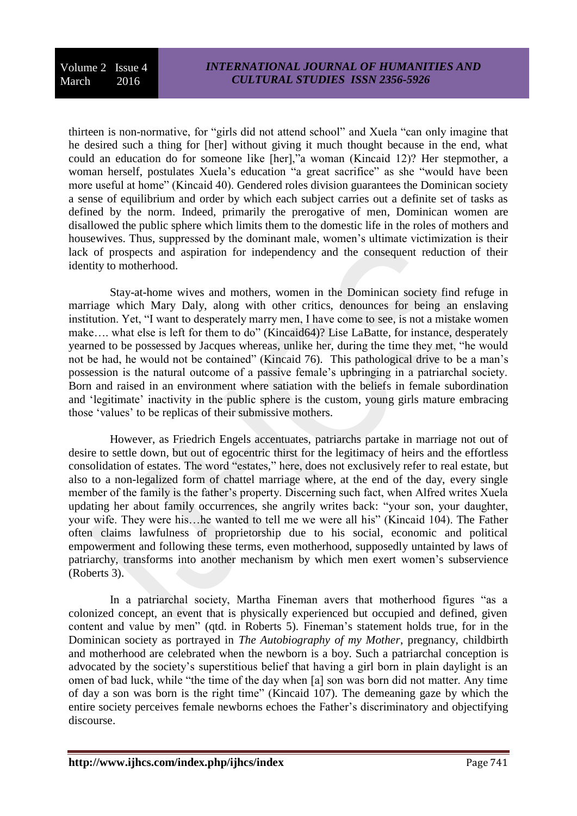thirteen is non-normative, for "girls did not attend school" and Xuela "can only imagine that he desired such a thing for [her] without giving it much thought because in the end, what could an education do for someone like [her],"a woman (Kincaid 12)? Her stepmother, a woman herself, postulates Xuela's education "a great sacrifice" as she "would have been more useful at home" (Kincaid 40). Gendered roles division guarantees the Dominican society a sense of equilibrium and order by which each subject carries out a definite set of tasks as defined by the norm. Indeed, primarily the prerogative of men, Dominican women are disallowed the public sphere which limits them to the domestic life in the roles of mothers and housewives. Thus, suppressed by the dominant male, women's ultimate victimization is their lack of prospects and aspiration for independency and the consequent reduction of their identity to motherhood.

Stay-at-home wives and mothers, women in the Dominican society find refuge in marriage which Mary Daly, along with other critics, denounces for being an enslaving institution. Yet, "I want to desperately marry men, I have come to see, is not a mistake women make…. what else is left for them to do" (Kincaid64)? Lise LaBatte, for instance, desperately yearned to be possessed by Jacques whereas, unlike her, during the time they met, "he would not be had, he would not be contained" (Kincaid 76). This pathological drive to be a man's possession is the natural outcome of a passive female's upbringing in a patriarchal society. Born and raised in an environment where satiation with the beliefs in female subordination and 'legitimate' inactivity in the public sphere is the custom, young girls mature embracing those 'values' to be replicas of their submissive mothers.

However, as Friedrich Engels accentuates, patriarchs partake in marriage not out of desire to settle down, but out of egocentric thirst for the legitimacy of heirs and the effortless consolidation of estates. The word "estates," here, does not exclusively refer to real estate, but also to a non-legalized form of chattel marriage where, at the end of the day, every single member of the family is the father's property. Discerning such fact, when Alfred writes Xuela updating her about family occurrences, she angrily writes back: "your son, your daughter, your wife. They were his…he wanted to tell me we were all his" (Kincaid 104). The Father often claims lawfulness of proprietorship due to his social, economic and political empowerment and following these terms, even motherhood, supposedly untainted by laws of patriarchy, transforms into another mechanism by which men exert women's subservience (Roberts 3).

In a patriarchal society, Martha Fineman avers that motherhood figures "as a colonized concept, an event that is physically experienced but occupied and defined, given content and value by men" (qtd. in Roberts 5). Fineman's statement holds true, for in the Dominican society as portrayed in *The Autobiography of my Mother*, pregnancy, childbirth and motherhood are celebrated when the newborn is a boy. Such a patriarchal conception is advocated by the society's superstitious belief that having a girl born in plain daylight is an omen of bad luck, while "the time of the day when [a] son was born did not matter. Any time of day a son was born is the right time" (Kincaid 107). The demeaning gaze by which the entire society perceives female newborns echoes the Father's discriminatory and objectifying discourse.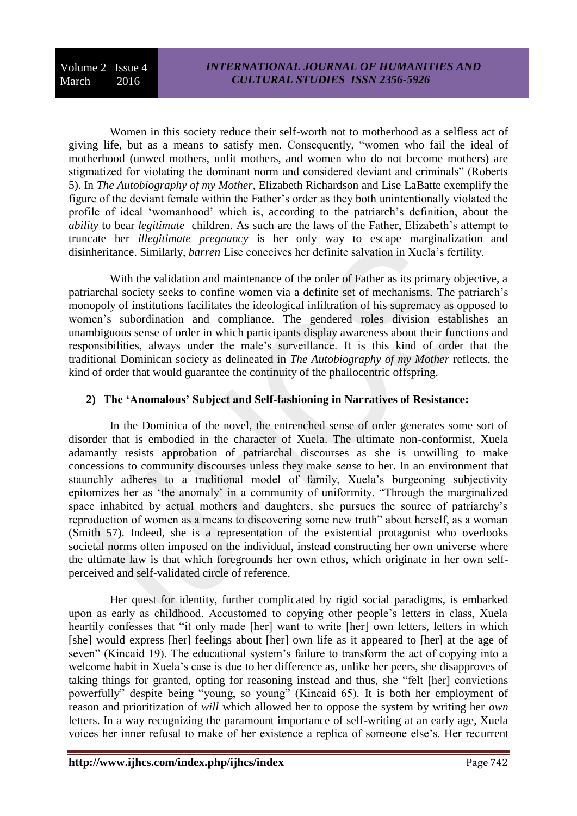Women in this society reduce their self-worth not to motherhood as a selfless act of giving life, but as a means to satisfy men. Consequently, "women who fail the ideal of motherhood (unwed mothers, unfit mothers, and women who do not become mothers) are stigmatized for violating the dominant norm and considered deviant and criminals" (Roberts 5). In *The Autobiography of my Mother*, Elizabeth Richardson and Lise LaBatte exemplify the figure of the deviant female within the Father's order as they both unintentionally violated the profile of ideal 'womanhood' which is, according to the patriarch's definition, about the *ability* to bear *legitimate* children. As such are the laws of the Father, Elizabeth's attempt to truncate her *illegitimate pregnancy* is her only way to escape marginalization and disinheritance. Similarly, *barren* Lise conceives her definite salvation in Xuela's fertility.

With the validation and maintenance of the order of Father as its primary objective, a patriarchal society seeks to confine women via a definite set of mechanisms. The patriarch's monopoly of institutions facilitates the ideological infiltration of his supremacy as opposed to women's subordination and compliance. The gendered roles division establishes an unambiguous sense of order in which participants display awareness about their functions and responsibilities, always under the male's surveillance. It is this kind of order that the traditional Dominican society as delineated in *The Autobiography of my Mother* reflects, the kind of order that would guarantee the continuity of the phallocentric offspring.

# **2) The 'Anomalous' Subject and Self-fashioning in Narratives of Resistance:**

In the Dominica of the novel, the entrenched sense of order generates some sort of disorder that is embodied in the character of Xuela. The ultimate non-conformist, Xuela adamantly resists approbation of patriarchal discourses as she is unwilling to make concessions to community discourses unless they make *sense* to her. In an environment that staunchly adheres to a traditional model of family, Xuela's burgeoning subjectivity epitomizes her as 'the anomaly' in a community of uniformity. "Through the marginalized space inhabited by actual mothers and daughters, she pursues the source of patriarchy's reproduction of women as a means to discovering some new truth" about herself, as a woman (Smith 57). Indeed, she is a representation of the existential protagonist who overlooks societal norms often imposed on the individual, instead constructing her own universe where the ultimate law is that which foregrounds her own ethos, which originate in her own selfperceived and self-validated circle of reference.

Her quest for identity, further complicated by rigid social paradigms, is embarked upon as early as childhood. Accustomed to copying other people's letters in class, Xuela heartily confesses that "it only made [her] want to write [her] own letters, letters in which [she] would express [her] feelings about [her] own life as it appeared to [her] at the age of seven" (Kincaid 19). The educational system's failure to transform the act of copying into a welcome habit in Xuela's case is due to her difference as, unlike her peers, she disapproves of taking things for granted, opting for reasoning instead and thus, she "felt [her] convictions powerfully" despite being "young, so young" (Kincaid 65). It is both her employment of reason and prioritization of *will* which allowed her to oppose the system by writing her *own* letters. In a way recognizing the paramount importance of self-writing at an early age, Xuela voices her inner refusal to make of her existence a replica of someone else's. Her recurrent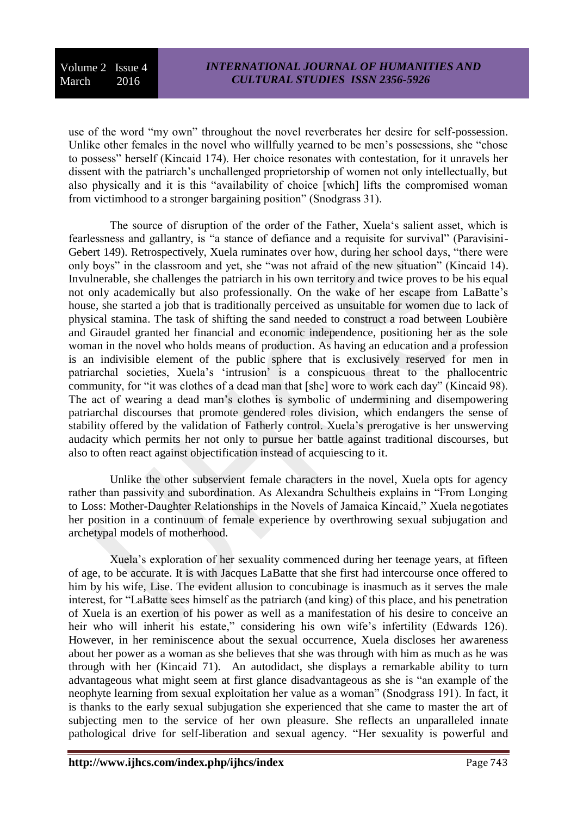use of the word "my own" throughout the novel reverberates her desire for self-possession. Unlike other females in the novel who willfully yearned to be men's possessions, she "chose to possess" herself (Kincaid 174). Her choice resonates with contestation, for it unravels her dissent with the patriarch's unchallenged proprietorship of women not only intellectually, but also physically and it is this "availability of choice [which] lifts the compromised woman from victimhood to a stronger bargaining position" (Snodgrass 31).

The source of disruption of the order of the Father, Xuela's salient asset, which is fearlessness and gallantry, is "a stance of defiance and a requisite for survival" (Paravisini-Gebert 149). Retrospectively, Xuela ruminates over how, during her school days, "there were only boys" in the classroom and yet, she "was not afraid of the new situation" (Kincaid 14). Invulnerable, she challenges the patriarch in his own territory and twice proves to be his equal not only academically but also professionally. On the wake of her escape from LaBatte's house, she started a job that is traditionally perceived as unsuitable for women due to lack of physical stamina. The task of shifting the sand needed to construct a road between Loubière and Giraudel granted her financial and economic independence, positioning her as the sole woman in the novel who holds means of production. As having an education and a profession is an indivisible element of the public sphere that is exclusively reserved for men in patriarchal societies, Xuela's 'intrusion' is a conspicuous threat to the phallocentric community, for "it was clothes of a dead man that [she] wore to work each day" (Kincaid 98). The act of wearing a dead man's clothes is symbolic of undermining and disempowering patriarchal discourses that promote gendered roles division, which endangers the sense of stability offered by the validation of Fatherly control. Xuela's prerogative is her unswerving audacity which permits her not only to pursue her battle against traditional discourses, but also to often react against objectification instead of acquiescing to it.

Unlike the other subservient female characters in the novel, Xuela opts for agency rather than passivity and subordination. As Alexandra Schultheis explains in "From Longing to Loss: Mother-Daughter Relationships in the Novels of Jamaica Kincaid," Xuela negotiates her position in a continuum of female experience by overthrowing sexual subjugation and archetypal models of motherhood.

Xuela's exploration of her sexuality commenced during her teenage years, at fifteen of age, to be accurate. It is with Jacques LaBatte that she first had intercourse once offered to him by his wife, Lise. The evident allusion to concubinage is inasmuch as it serves the male interest, for "LaBatte sees himself as the patriarch (and king) of this place, and his penetration of Xuela is an exertion of his power as well as a manifestation of his desire to conceive an heir who will inherit his estate," considering his own wife's infertility (Edwards 126). However, in her reminiscence about the sexual occurrence, Xuela discloses her awareness about her power as a woman as she believes that she was through with him as much as he was through with her (Kincaid 71). An autodidact, she displays a remarkable ability to turn advantageous what might seem at first glance disadvantageous as she is "an example of the neophyte learning from sexual exploitation her value as a woman" (Snodgrass 191). In fact, it is thanks to the early sexual subjugation she experienced that she came to master the art of subjecting men to the service of her own pleasure. She reflects an unparalleled innate pathological drive for self-liberation and sexual agency. "Her sexuality is powerful and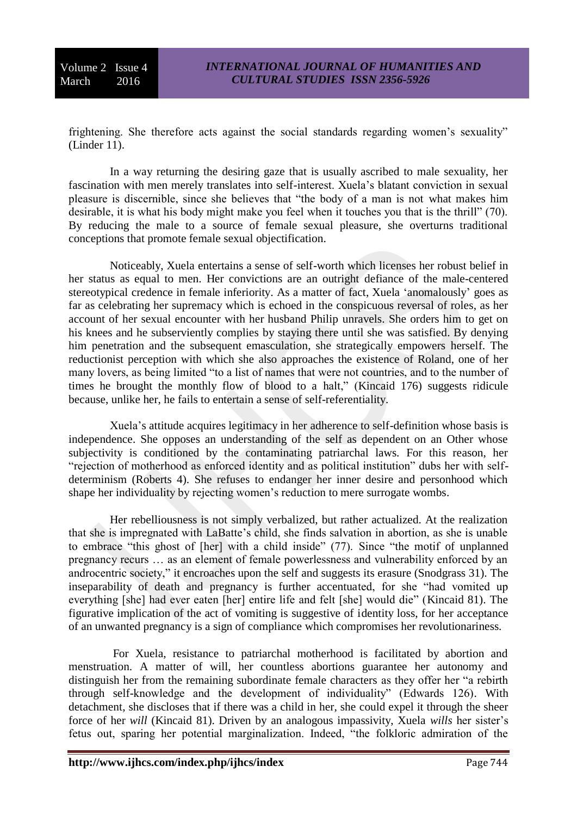frightening. She therefore acts against the social standards regarding women's sexuality" (Linder 11).

In a way returning the desiring gaze that is usually ascribed to male sexuality, her fascination with men merely translates into self-interest. Xuela's blatant conviction in sexual pleasure is discernible, since she believes that "the body of a man is not what makes him desirable, it is what his body might make you feel when it touches you that is the thrill" (70). By reducing the male to a source of female sexual pleasure, she overturns traditional conceptions that promote female sexual objectification.

Noticeably, Xuela entertains a sense of self-worth which licenses her robust belief in her status as equal to men. Her convictions are an outright defiance of the male-centered stereotypical credence in female inferiority. As a matter of fact, Xuela 'anomalously' goes as far as celebrating her supremacy which is echoed in the conspicuous reversal of roles, as her account of her sexual encounter with her husband Philip unravels. She orders him to get on his knees and he subserviently complies by staying there until she was satisfied. By denying him penetration and the subsequent emasculation, she strategically empowers herself. The reductionist perception with which she also approaches the existence of Roland, one of her many lovers, as being limited "to a list of names that were not countries, and to the number of times he brought the monthly flow of blood to a halt," (Kincaid 176) suggests ridicule because, unlike her, he fails to entertain a sense of self-referentiality.

Xuela's attitude acquires legitimacy in her adherence to self-definition whose basis is independence. She opposes an understanding of the self as dependent on an Other whose subjectivity is conditioned by the contaminating patriarchal laws. For this reason, her "rejection of motherhood as enforced identity and as political institution" dubs her with selfdeterminism (Roberts 4). She refuses to endanger her inner desire and personhood which shape her individuality by rejecting women's reduction to mere surrogate wombs.

Her rebelliousness is not simply verbalized, but rather actualized. At the realization that she is impregnated with LaBatte's child, she finds salvation in abortion, as she is unable to embrace "this ghost of [her] with a child inside" (77). Since "the motif of unplanned pregnancy recurs … as an element of female powerlessness and vulnerability enforced by an androcentric society," it encroaches upon the self and suggests its erasure (Snodgrass 31). The inseparability of death and pregnancy is further accentuated, for she "had vomited up everything [she] had ever eaten [her] entire life and felt [she] would die" (Kincaid 81). The figurative implication of the act of vomiting is suggestive of identity loss, for her acceptance of an unwanted pregnancy is a sign of compliance which compromises her revolutionariness.

For Xuela, resistance to patriarchal motherhood is facilitated by abortion and menstruation. A matter of will, her countless abortions guarantee her autonomy and distinguish her from the remaining subordinate female characters as they offer her "a rebirth through self-knowledge and the development of individuality" (Edwards 126). With detachment, she discloses that if there was a child in her, she could expel it through the sheer force of her *will* (Kincaid 81). Driven by an analogous impassivity, Xuela *wills* her sister's fetus out, sparing her potential marginalization. Indeed, "the folkloric admiration of the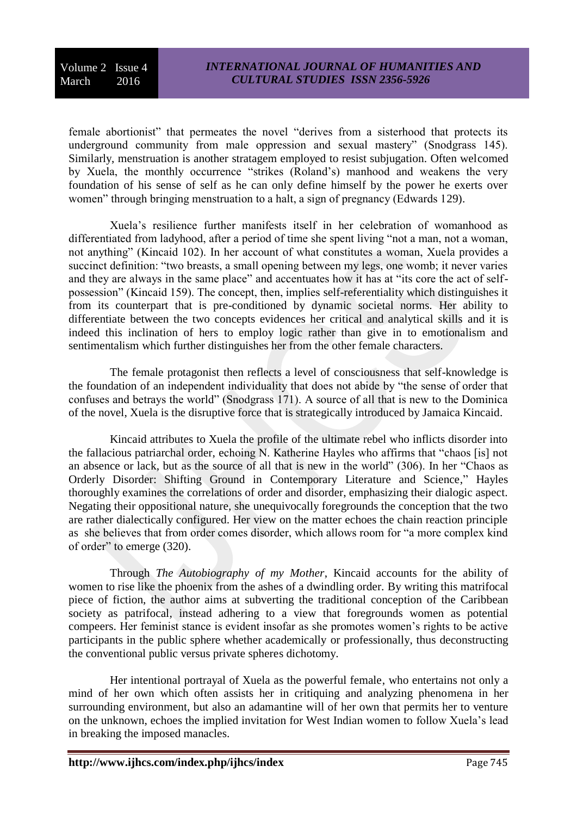female abortionist" that permeates the novel "derives from a sisterhood that protects its underground community from male oppression and sexual mastery" (Snodgrass 145). Similarly, menstruation is another stratagem employed to resist subjugation. Often welcomed by Xuela, the monthly occurrence "strikes (Roland's) manhood and weakens the very foundation of his sense of self as he can only define himself by the power he exerts over women" through bringing menstruation to a halt, a sign of pregnancy (Edwards 129).

Xuela's resilience further manifests itself in her celebration of womanhood as differentiated from ladyhood, after a period of time she spent living "not a man, not a woman, not anything" (Kincaid 102). In her account of what constitutes a woman, Xuela provides a succinct definition: "two breasts, a small opening between my legs, one womb; it never varies and they are always in the same place" and accentuates how it has at "its core the act of selfpossession" (Kincaid 159). The concept, then, implies self-referentiality which distinguishes it from its counterpart that is pre-conditioned by dynamic societal norms. Her ability to differentiate between the two concepts evidences her critical and analytical skills and it is indeed this inclination of hers to employ logic rather than give in to emotionalism and sentimentalism which further distinguishes her from the other female characters.

The female protagonist then reflects a level of consciousness that self-knowledge is the foundation of an independent individuality that does not abide by "the sense of order that confuses and betrays the world" (Snodgrass 171). A source of all that is new to the Dominica of the novel, Xuela is the disruptive force that is strategically introduced by Jamaica Kincaid.

Kincaid attributes to Xuela the profile of the ultimate rebel who inflicts disorder into the fallacious patriarchal order, echoing N. Katherine Hayles who affirms that "chaos [is] not an absence or lack, but as the source of all that is new in the world" (306). In her "Chaos as Orderly Disorder: Shifting Ground in Contemporary Literature and Science," Hayles thoroughly examines the correlations of order and disorder, emphasizing their dialogic aspect. Negating their oppositional nature, she unequivocally foregrounds the conception that the two are rather dialectically configured. Her view on the matter echoes the chain reaction principle as she believes that from order comes disorder, which allows room for "a more complex kind of order" to emerge (320).

Through *The Autobiography of my Mother*, Kincaid accounts for the ability of women to rise like the phoenix from the ashes of a dwindling order. By writing this matrifocal piece of fiction, the author aims at subverting the traditional conception of the Caribbean society as patrifocal, instead adhering to a view that foregrounds women as potential compeers. Her feminist stance is evident insofar as she promotes women's rights to be active participants in the public sphere whether academically or professionally, thus deconstructing the conventional public versus private spheres dichotomy.

Her intentional portrayal of Xuela as the powerful female, who entertains not only a mind of her own which often assists her in critiquing and analyzing phenomena in her surrounding environment, but also an adamantine will of her own that permits her to venture on the unknown, echoes the implied invitation for West Indian women to follow Xuela's lead in breaking the imposed manacles.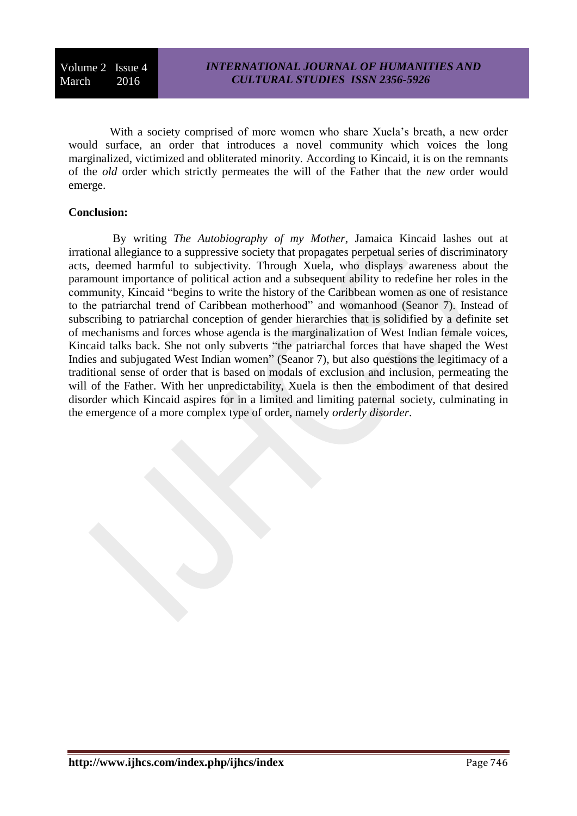With a society comprised of more women who share Xuela's breath, a new order would surface, an order that introduces a novel community which voices the long marginalized, victimized and obliterated minority. According to Kincaid, it is on the remnants of the *old* order which strictly permeates the will of the Father that the *new* order would emerge.

#### **Conclusion:**

By writing *The Autobiography of my Mother*, Jamaica Kincaid lashes out at irrational allegiance to a suppressive society that propagates perpetual series of discriminatory acts, deemed harmful to subjectivity. Through Xuela, who displays awareness about the paramount importance of political action and a subsequent ability to redefine her roles in the community, Kincaid "begins to write the history of the Caribbean women as one of resistance to the patriarchal trend of Caribbean motherhood" and womanhood (Seanor 7). Instead of subscribing to patriarchal conception of gender hierarchies that is solidified by a definite set of mechanisms and forces whose agenda is the marginalization of West Indian female voices, Kincaid talks back. She not only subverts "the patriarchal forces that have shaped the West Indies and subjugated West Indian women" (Seanor 7), but also questions the legitimacy of a traditional sense of order that is based on modals of exclusion and inclusion, permeating the will of the Father. With her unpredictability, Xuela is then the embodiment of that desired disorder which Kincaid aspires for in a limited and limiting paternal society, culminating in the emergence of a more complex type of order, namely *orderly disorder*.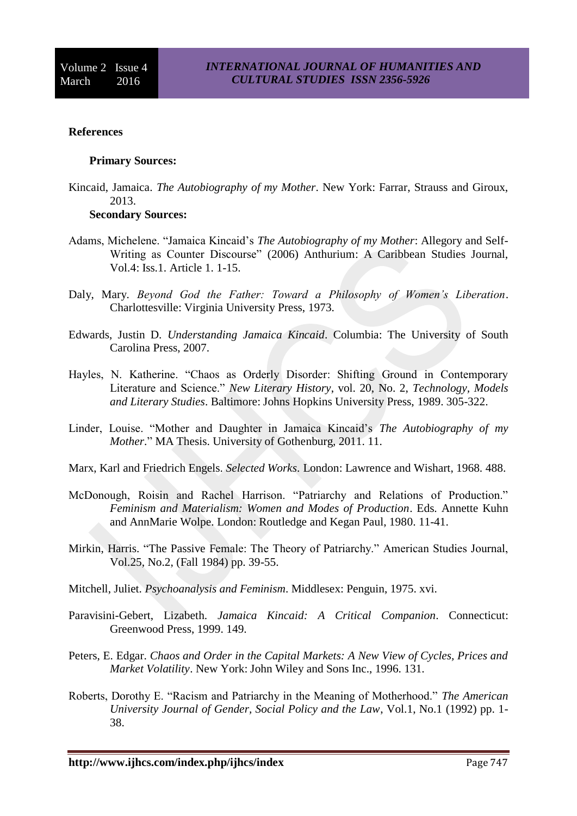### **References**

#### **Primary Sources:**

Kincaid, Jamaica. *The Autobiography of my Mother*. New York: Farrar, Strauss and Giroux, 2013.

# **Secondary Sources:**

- Adams, Michelene. "Jamaica Kincaid's *The Autobiography of my Mother*: Allegory and Self-Writing as Counter Discourse" (2006) Anthurium: A Caribbean Studies Journal, Vol.4: Iss.1. Article 1. 1-15.
- Daly, Mary. *Beyond God the Father: Toward a Philosophy of Women's Liberation*. Charlottesville: Virginia University Press, 1973.
- Edwards, Justin D. *Understanding Jamaica Kincaid*. Columbia: The University of South Carolina Press, 2007.
- Hayles, N. Katherine. "Chaos as Orderly Disorder: Shifting Ground in Contemporary Literature and Science." *New Literary History*, vol. 20, No. 2, *Technology, Models and Literary Studies*. Baltimore: Johns Hopkins University Press, 1989. 305-322.
- Linder, Louise. "Mother and Daughter in Jamaica Kincaid's *The Autobiography of my Mother*." MA Thesis. University of Gothenburg, 2011. 11.
- Marx, Karl and Friedrich Engels. *Selected Works*. London: Lawrence and Wishart, 1968. 488.
- McDonough, Roisin and Rachel Harrison. "Patriarchy and Relations of Production." *Feminism and Materialism: Women and Modes of Production*. Eds. Annette Kuhn and AnnMarie Wolpe. London: Routledge and Kegan Paul, 1980. 11-41.
- Mirkin, Harris. "The Passive Female: The Theory of Patriarchy." American Studies Journal, Vol.25, No.2, (Fall 1984) pp. 39-55.
- Mitchell, Juliet. *Psychoanalysis and Feminism*. Middlesex: Penguin, 1975. xvi.
- Paravisini-Gebert, Lizabeth. *Jamaica Kincaid: A Critical Companion*. Connecticut: Greenwood Press, 1999. 149.
- Peters, E. Edgar. *Chaos and Order in the Capital Markets: A New View of Cycles, Prices and Market Volatility*. New York: John Wiley and Sons Inc., 1996. 131.
- Roberts, Dorothy E. "Racism and Patriarchy in the Meaning of Motherhood." *The American University Journal of Gender, Social Policy and the Law*, Vol.1, No.1 (1992) pp. 1- 38.